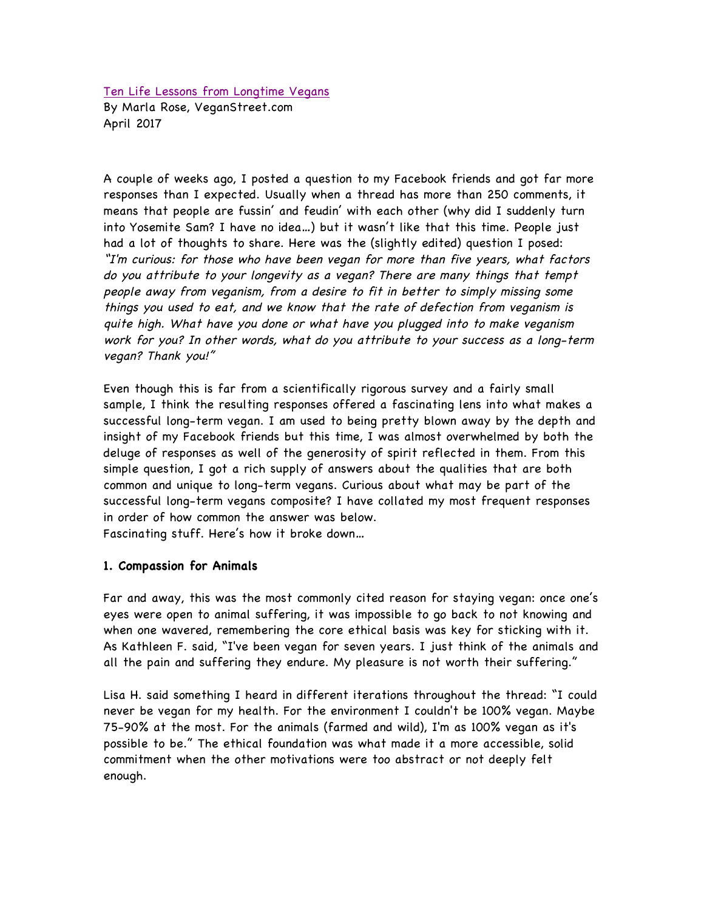Ten Life Lessons from Longtime Vegans By Marla Rose, VeganStreet.com April 2017

A couple of weeks ago, I posted a question to my Facebook friends and got far more responses than I expected. Usually when a thread has more than 250 comments, it means that people are fussin' and feudin' with each other (why did I suddenly turn into Yosemite Sam? I have no idea…) but it wasn't like that this time. People just had a lot of thoughts to share. Here was the (slightly edited) question I posed: "I'm curious: for those who have been vegan for more than five years, what factors do you attribute to your longevity as a vegan? There are many things that tempt people away from veganism, from a desire to fit in better to simply missing some things you used to eat, and we know that the rate of defection from veganism is quite high. What have you done or what have you plugged into to make veganism work for you? In other words, what do you attribute to your success as a long-term vegan? Thank you!"

Even though this is far from a scientifically rigorous survey and a fairly small sample, I think the resulting responses offered a fascinating lens into what makes a successful long-term vegan. I am used to being pretty blown away by the depth and insight of my Facebook friends but this time, I was almost overwhelmed by both the deluge of responses as well of the generosity of spirit reflected in them. From this simple question, I got a rich supply of answers about the qualities that are both common and unique to long-term vegans. Curious about what may be part of the successful long-term vegans composite? I have collated my most frequent responses in order of how common the answer was below. Fascinating stuff. Here's how it broke down…

**1. Compassion for Animals**

Far and away, this was the most commonly cited reason for staying vegan: once one's eyes were open to animal suffering, it was impossible to go back to not knowing and when one wavered, remembering the core ethical basis was key for sticking with it. As Kathleen F. said, "I've been vegan for seven years. I just think of the animals and all the pain and suffering they endure. My pleasure is not worth their suffering."

Lisa H. said something I heard in different iterations throughout the thread: "I could never be vegan for my health. For the environment I couldn't be 100% vegan. Maybe 75-90% at the most. For the animals (farmed and wild), I'm as 100% vegan as it's possible to be." The ethical foundation was what made it a more accessible, solid commitment when the other motivations were too abstract or not deeply felt enough.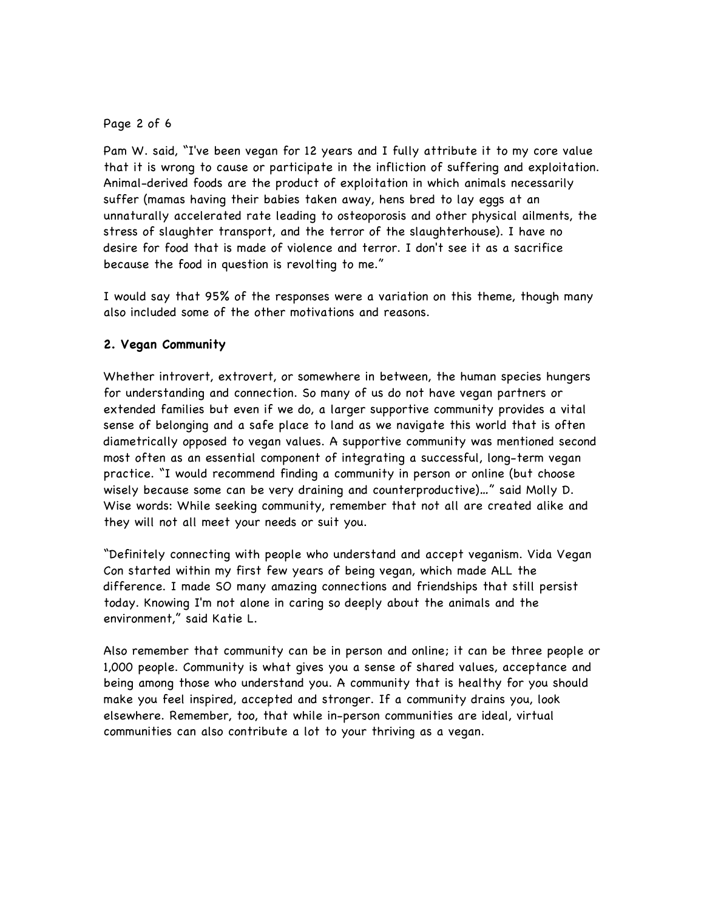## Page 2 of 6

Pam W. said, "I've been vegan for 12 years and I fully attribute it to my core value that it is wrong to cause or participate in the infliction of suffering and exploitation. Animal-derived foods are the product of exploitation in which animals necessarily suffer (mamas having their babies taken away, hens bred to lay eggs at an unnaturally accelerated rate leading to osteoporosis and other physical ailments, the stress of slaughter transport, and the terror of the slaughterhouse). I have no desire for food that is made of violence and terror. I don't see it as a sacrifice because the food in question is revolting to me."

I would say that 95% of the responses were a variation on this theme, though many also included some of the other motivations and reasons.

# **2. Vegan Community**

Whether introvert, extrovert, or somewhere in between, the human species hungers for understanding and connection. So many of us do not have vegan partners or extended families but even if we do, a larger supportive community provides a vital sense of belonging and a safe place to land as we navigate this world that is often diametrically opposed to vegan values. A supportive community was mentioned second most often as an essential component of integrating a successful, long-term vegan practice. "I would recommend finding a community in person or online (but choose wisely because some can be very draining and counterproductive)…" said Molly D. Wise words: While seeking community, remember that not all are created alike and they will not all meet your needs or suit you.

"Definitely connecting with people who understand and accept veganism. Vida Vegan Con started within my first few years of being vegan, which made ALL the difference. I made SO many amazing connections and friendships that still persist today. Knowing I'm not alone in caring so deeply about the animals and the environment," said Katie L.

Also remember that community can be in person and online; it can be three people or 1,000 people. Community is what gives you a sense of shared values, acceptance and being among those who understand you. A community that is healthy for you should make you feel inspired, accepted and stronger. If a community drains you, look elsewhere. Remember, too, that while in-person communities are ideal, virtual communities can also contribute a lot to your thriving as a vegan.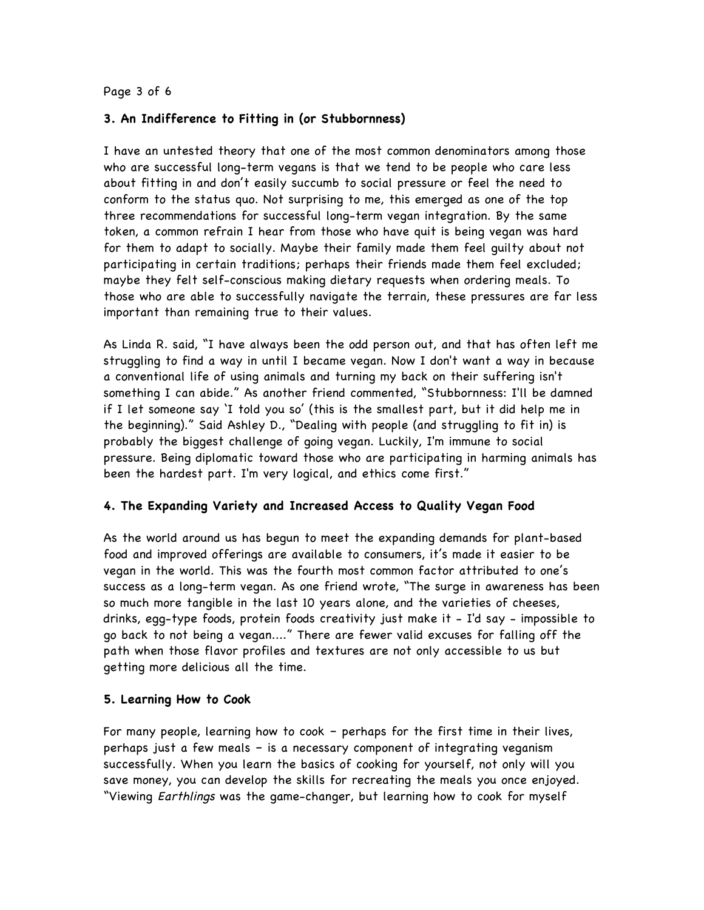### Page 3 of 6

## **3. An Indifference to Fitting in (or Stubbornness)**

I have an untested theory that one of the most common denominators among those who are successful long-term vegans is that we tend to be people who care less about fitting in and don't easily succumb to social pressure or feel the need to conform to the status quo. Not surprising to me, this emerged as one of the top three recommendations for successful long-term vegan integration. By the same token, a common refrain I hear from those who have quit is being vegan was hard for them to adapt to socially. Maybe their family made them feel guilty about not participating in certain traditions; perhaps their friends made them feel excluded; maybe they felt self-conscious making dietary requests when ordering meals. To those who are able to successfully navigate the terrain, these pressures are far less important than remaining true to their values.

As Linda R. said, "I have always been the odd person out, and that has often left me struggling to find a way in until I became vegan. Now I don't want a way in because a conventional life of using animals and turning my back on their suffering isn't something I can abide." As another friend commented, "Stubbornness: I'll be damned if I let someone say 'I told you so' (this is the smallest part, but it did help me in the beginning)." Said Ashley D., "Dealing with people (and struggling to fit in) is probably the biggest challenge of going vegan. Luckily, I'm immune to social pressure. Being diplomatic toward those who are participating in harming animals has been the hardest part. I'm very logical, and ethics come first."

# **4. The Expanding Variety and Increased Access to Quality Vegan Food**

As the world around us has begun to meet the expanding demands for plant-based food and improved offerings are available to consumers, it's made it easier to be vegan in the world. This was the fourth most common factor attributed to one's success as a long-term vegan. As one friend wrote, "The surge in awareness has been so much more tangible in the last 10 years alone, and the varieties of cheeses, drinks, egg-type foods, protein foods creativity just make it - I'd say - impossible to go back to not being a vegan...." There are fewer valid excuses for falling off the path when those flavor profiles and textures are not only accessible to us but getting more delicious all the time.

## **5. Learning How to Cook**

For many people, learning how to cook – perhaps for the first time in their lives, perhaps just a few meals – is a necessary component of integrating veganism successfully. When you learn the basics of cooking for yourself, not only will you save money, you can develop the skills for recreating the meals you once enjoyed. "Viewing Earthlings was the game-changer, but learning how to cook for myself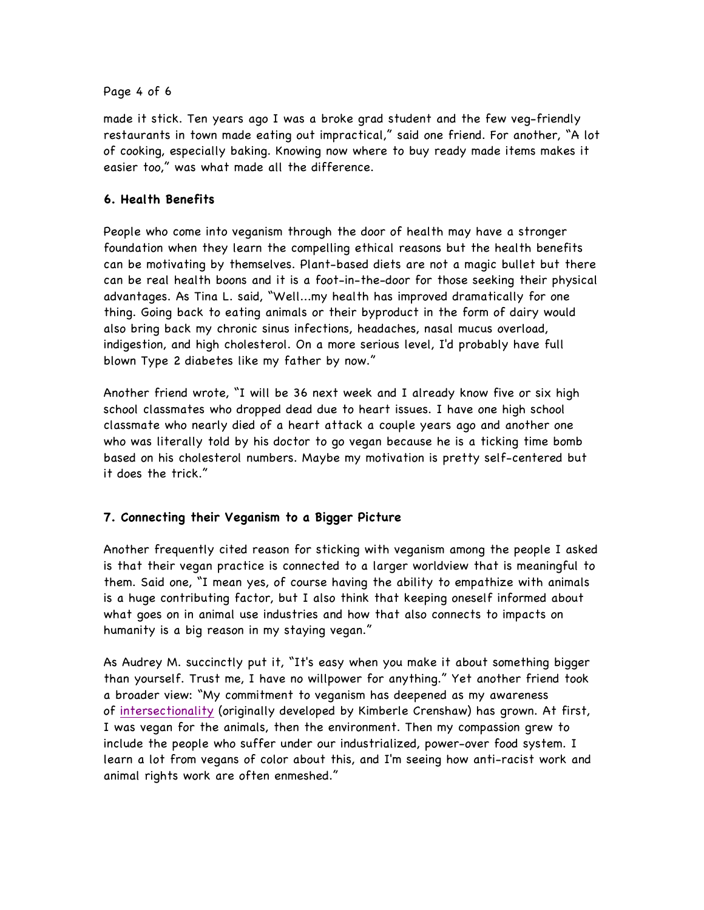## Page 4 of 6

made it stick. Ten years ago I was a broke grad student and the few veg-friendly restaurants in town made eating out impractical," said one friend. For another, "A lot of cooking, especially baking. Knowing now where to buy ready made items makes it easier too," was what made all the difference.

# **6. Health Benefits**

People who come into veganism through the door of health may have a stronger foundation when they learn the compelling ethical reasons but the health benefits can be motivating by themselves. Plant-based diets are not a magic bullet but there can be real health boons and it is a foot-in-the-door for those seeking their physical advantages. As Tina L. said, "Well...my health has improved dramatically for one thing. Going back to eating animals or their byproduct in the form of dairy would also bring back my chronic sinus infections, headaches, nasal mucus overload, indigestion, and high cholesterol. On a more serious level, I'd probably have full blown Type 2 diabetes like my father by now."

Another friend wrote, "I will be 36 next week and I already know five or six high school classmates who dropped dead due to heart issues. I have one high school classmate who nearly died of a heart attack a couple years ago and another one who was literally told by his doctor to go vegan because he is a ticking time bomb based on his cholesterol numbers. Maybe my motivation is pretty self-centered but it does the trick."

# **7. Connecting their Veganism to a Bigger Picture**

Another frequently cited reason for sticking with veganism among the people I asked is that their vegan practice is connected to a larger worldview that is meaningful to them. Said one, "I mean yes, of course having the ability to empathize with animals is a huge contributing factor, but I also think that keeping oneself informed about what goes on in animal use industries and how that also connects to impacts on humanity is a big reason in my staying vegan."

As Audrey M. succinctly put it, "It's easy when you make it about something bigger than yourself. Trust me, I have no willpower for anything." Yet another friend took a broader view: "My commitment to veganism has deepened as my awareness of intersectionality (originally developed by Kimberle Crenshaw) has grown. At first, I was vegan for the animals, then the environment. Then my compassion grew to include the people who suffer under our industrialized, power-over food system. I learn a lot from vegans of color about this, and I'm seeing how anti-racist work and animal rights work are often enmeshed."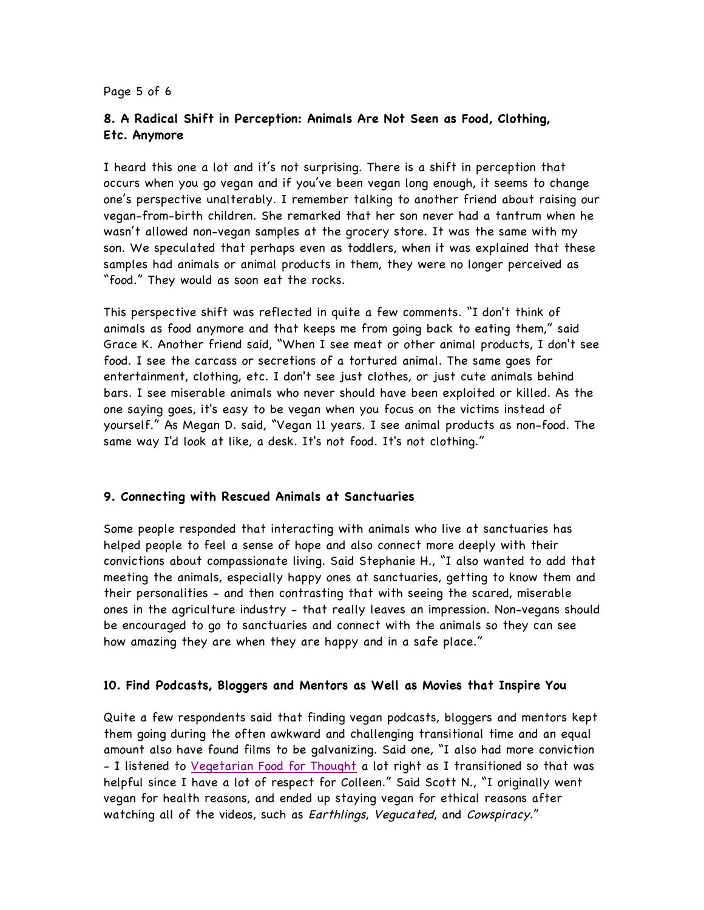#### Page 5 of 6

# **8. A Radical Shift in Perception: Animals Are Not Seen as Food, Clothing, Etc. Anymore**

I heard this one a lot and it's not surprising. There is a shift in perception that occurs when you go vegan and if you've been vegan long enough, it seems to change one's perspective unalterably. I remember talking to another friend about raising our vegan-from-birth children. She remarked that her son never had a tantrum when he wasn't allowed non-vegan samples at the grocery store. It was the same with my son. We speculated that perhaps even as toddlers, when it was explained that these samples had animals or animal products in them, they were no longer perceived as "food." They would as soon eat the rocks.

This perspective shift was reflected in quite a few comments. "I don't think of animals as food anymore and that keeps me from going back to eating them," said Grace K. Another friend said, "When I see meat or other animal products, I don't see food. I see the carcass or secretions of a tortured animal. The same goes for entertainment, clothing, etc. I don't see just clothes, or just cute animals behind bars. I see miserable animals who never should have been exploited or killed. As the one saying goes, it's easy to be vegan when you focus on the victims instead of yourself." As Megan D. said, "Vegan 11 years. I see animal products as non-food. The same way I'd look at like, a desk. It's not food. It's not clothing."

## **9. Connecting with Rescued Animals at Sanctuaries**

Some people responded that interacting with animals who live at sanctuaries has helped people to feel a sense of hope and also connect more deeply with their convictions about compassionate living. Said Stephanie H., "I also wanted to add that meeting the animals, especially happy ones at sanctuaries, getting to know them and their personalities - and then contrasting that with seeing the scared, miserable ones in the agriculture industry - that really leaves an impression. Non-vegans should be encouraged to go to sanctuaries and connect with the animals so they can see how amazing they are when they are happy and in a safe place."

## **10. Find Podcasts, Bloggers and Mentors as Well as Movies that Inspire You**

Quite a few respondents said that finding vegan podcasts, bloggers and mentors kept them going during the often awkward and challenging transitional time and an equal amount also have found films to be galvanizing. Said one, "I also had more conviction - I listened to Vegetarian Food for Thought a lot right as I transitioned so that was helpful since I have a lot of respect for Colleen." Said Scott N., "I originally went vegan for health reasons, and ended up staying vegan for ethical reasons after watching all of the videos, such as Earthlings, Vegucated, and Cowspiracy."